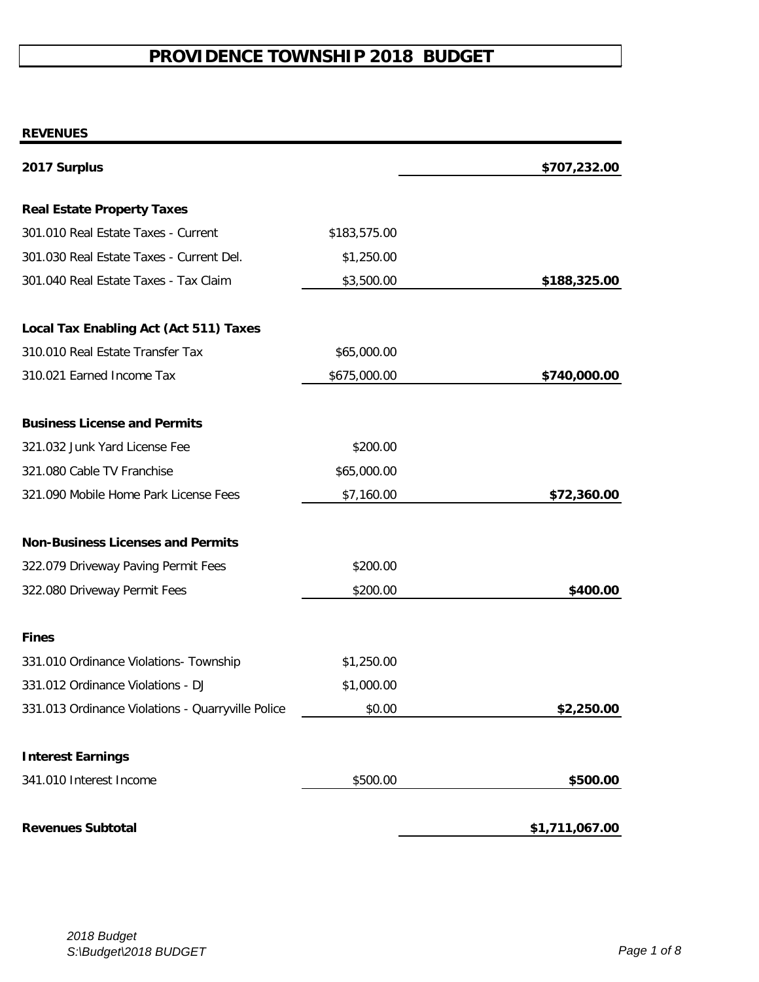# **PROVIDENCE TOWNSHIP 2018 BUDGET**

#### **REVENUES**

| 2017 Surplus                                      |              | \$707,232.00   |
|---------------------------------------------------|--------------|----------------|
| <b>Real Estate Property Taxes</b>                 |              |                |
| 301.010 Real Estate Taxes - Current               | \$183,575.00 |                |
| 301.030 Real Estate Taxes - Current Del.          | \$1,250.00   |                |
| 301.040 Real Estate Taxes - Tax Claim             | \$3,500.00   | \$188,325.00   |
| <b>Local Tax Enabling Act (Act 511) Taxes</b>     |              |                |
| 310.010 Real Estate Transfer Tax                  | \$65,000.00  |                |
| 310.021 Earned Income Tax                         | \$675,000.00 | \$740,000.00   |
| <b>Business License and Permits</b>               |              |                |
| 321.032 Junk Yard License Fee                     | \$200.00     |                |
| 321.080 Cable TV Franchise                        | \$65,000.00  |                |
| 321.090 Mobile Home Park License Fees             | \$7,160.00   | \$72,360.00    |
| <b>Non-Business Licenses and Permits</b>          |              |                |
| 322.079 Driveway Paving Permit Fees               | \$200.00     |                |
| 322.080 Driveway Permit Fees                      | \$200.00     | \$400.00       |
| <b>Fines</b>                                      |              |                |
| 331.010 Ordinance Violations- Township            | \$1,250.00   |                |
| 331.012 Ordinance Violations - DJ                 | \$1,000.00   |                |
| 331.013 Ordinance Violations - Quarryville Police | \$0.00       | \$2,250.00     |
| <b>Interest Earnings</b>                          |              |                |
| 341.010 Interest Income                           | \$500.00     | \$500.00       |
| <b>Revenues Subtotal</b>                          |              | \$1,711,067.00 |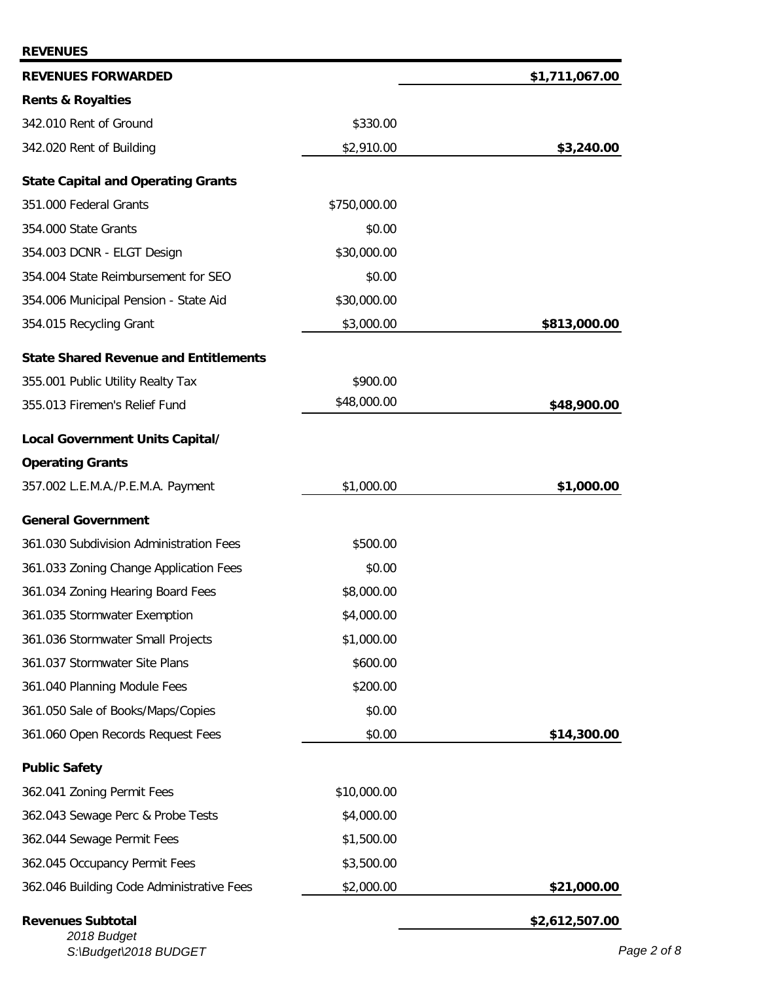| <b>REVENUES</b>                              |              |                |
|----------------------------------------------|--------------|----------------|
| <b>REVENUES FORWARDED</b>                    |              | \$1,711,067.00 |
| <b>Rents &amp; Royalties</b>                 |              |                |
| 342.010 Rent of Ground                       | \$330.00     |                |
| 342.020 Rent of Building                     | \$2,910.00   | \$3,240.00     |
| <b>State Capital and Operating Grants</b>    |              |                |
| 351.000 Federal Grants                       | \$750,000.00 |                |
| 354.000 State Grants                         | \$0.00       |                |
| 354.003 DCNR - ELGT Design                   | \$30,000.00  |                |
| 354.004 State Reimbursement for SEO          | \$0.00       |                |
| 354.006 Municipal Pension - State Aid        | \$30,000.00  |                |
| 354.015 Recycling Grant                      | \$3,000.00   | \$813,000.00   |
| <b>State Shared Revenue and Entitlements</b> |              |                |
| 355.001 Public Utility Realty Tax            | \$900.00     |                |
| 355.013 Firemen's Relief Fund                | \$48,000.00  | \$48,900.00    |
| Local Government Units Capital/              |              |                |
| <b>Operating Grants</b>                      |              |                |
| 357.002 L.E.M.A./P.E.M.A. Payment            | \$1,000.00   | \$1,000.00     |
| <b>General Government</b>                    |              |                |
| 361.030 Subdivision Administration Fees      | \$500.00     |                |
| 361.033 Zoning Change Application Fees       | \$0.00       |                |
| 361.034 Zoning Hearing Board Fees            | \$8,000.00   |                |
| 361.035 Stormwater Exemption                 | \$4,000.00   |                |
| 361.036 Stormwater Small Projects            | \$1,000.00   |                |
| 361.037 Stormwater Site Plans                | \$600.00     |                |
| 361.040 Planning Module Fees                 | \$200.00     |                |
| 361.050 Sale of Books/Maps/Copies            | \$0.00       |                |
| 361.060 Open Records Request Fees            | \$0.00       | \$14,300.00    |
| <b>Public Safety</b>                         |              |                |
| 362.041 Zoning Permit Fees                   | \$10,000.00  |                |
| 362.043 Sewage Perc & Probe Tests            | \$4,000.00   |                |
| 362.044 Sewage Permit Fees                   | \$1,500.00   |                |
| 362.045 Occupancy Permit Fees                | \$3,500.00   |                |
| 362.046 Building Code Administrative Fees    | \$2,000.00   | \$21,000.00    |
| <b>Revenues Subtotal</b><br>2018 Budget      |              | \$2,612,507.00 |

*S:\Budget\2018 BUDGET Page 2 of 8*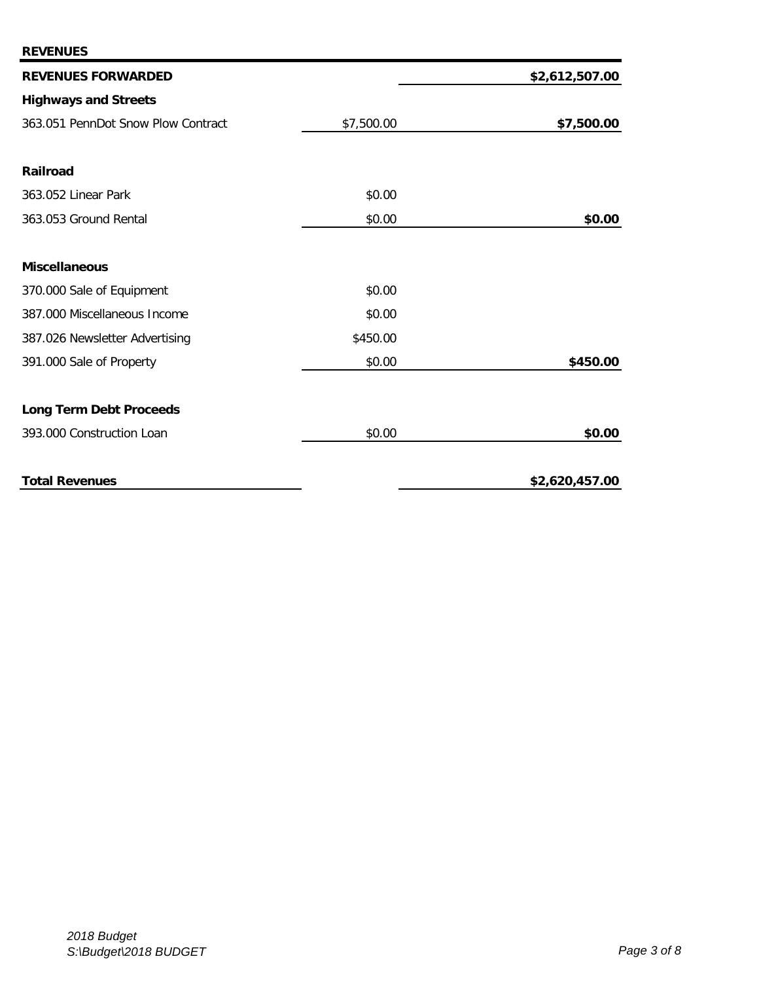| <b>REVENUES FORWARDED</b>          |            | \$2,612,507.00 |
|------------------------------------|------------|----------------|
| <b>Highways and Streets</b>        |            |                |
| 363.051 PennDot Snow Plow Contract | \$7,500.00 | \$7,500.00     |
|                                    |            |                |
| <b>Railroad</b>                    |            |                |
| 363.052 Linear Park                | \$0.00     |                |
| 363.053 Ground Rental              | \$0.00     | \$0.00         |
|                                    |            |                |
| <b>Miscellaneous</b>               |            |                |
| 370.000 Sale of Equipment          | \$0.00     |                |
| 387.000 Miscellaneous Income       | \$0.00     |                |
| 387.026 Newsletter Advertising     | \$450.00   |                |
| 391.000 Sale of Property           | \$0.00     | \$450.00       |
| <b>Long Term Debt Proceeds</b>     |            |                |
| 393.000 Construction Loan          | \$0.00     | \$0.00         |
| <b>Total Revenues</b>              |            | \$2,620,457.00 |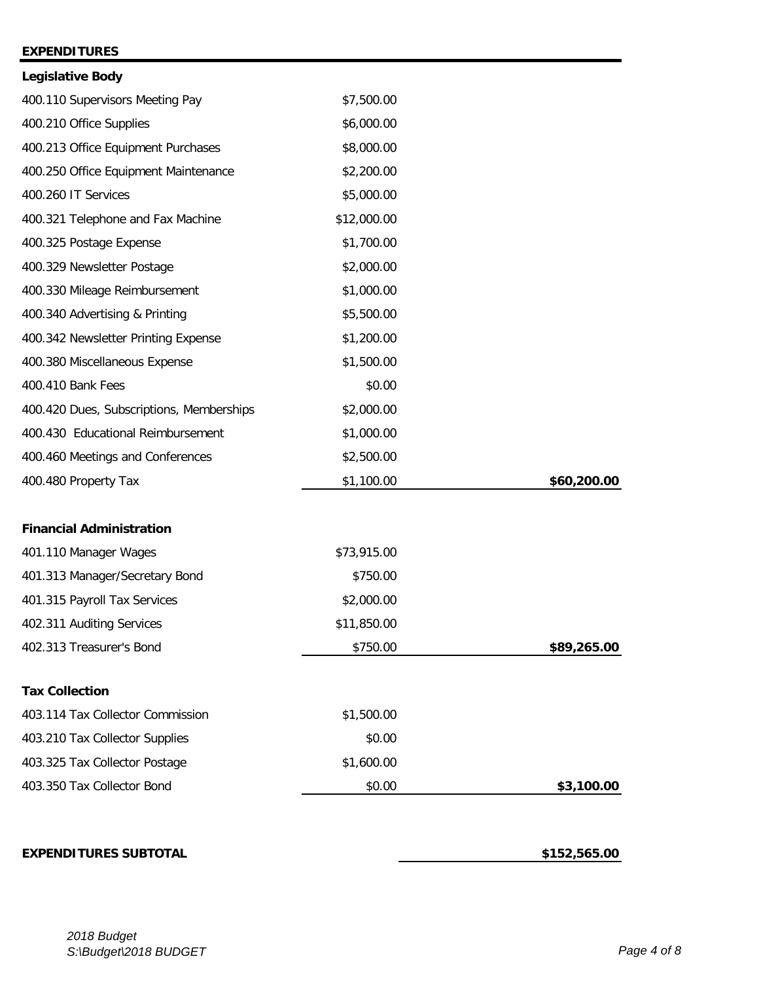### **EXPENDITURES**

| <b>Legislative Body</b>                  |             |             |
|------------------------------------------|-------------|-------------|
| 400.110 Supervisors Meeting Pay          | \$7,500.00  |             |
| 400.210 Office Supplies                  | \$6,000.00  |             |
| 400.213 Office Equipment Purchases       | \$8,000.00  |             |
| 400.250 Office Equipment Maintenance     | \$2,200.00  |             |
| 400.260 IT Services                      | \$5,000.00  |             |
| 400.321 Telephone and Fax Machine        | \$12,000.00 |             |
| 400.325 Postage Expense                  | \$1,700.00  |             |
| 400.329 Newsletter Postage               | \$2,000.00  |             |
| 400.330 Mileage Reimbursement            | \$1,000.00  |             |
| 400.340 Advertising & Printing           | \$5,500.00  |             |
| 400.342 Newsletter Printing Expense      | \$1,200.00  |             |
| 400.380 Miscellaneous Expense            | \$1,500.00  |             |
| 400.410 Bank Fees                        | \$0.00      |             |
| 400.420 Dues, Subscriptions, Memberships | \$2,000.00  |             |
| 400.430 Educational Reimbursement        | \$1,000.00  |             |
| 400.460 Meetings and Conferences         | \$2,500.00  |             |
| 400.480 Property Tax                     | \$1,100.00  | \$60,200.00 |
| <b>Financial Administration</b>          |             |             |
| 401.110 Manager Wages                    | \$73,915.00 |             |
| 401.313 Manager/Secretary Bond           | \$750.00    |             |
| 401.315 Payroll Tax Services             | \$2,000.00  |             |
| 402.311 Auditing Services                | \$11,850.00 |             |
| 402.313 Treasurer's Bond                 | \$750.00    | \$89,265.00 |
|                                          |             |             |
| <b>Tax Collection</b>                    |             |             |
| 403.114 Tax Collector Commission         | \$1,500.00  |             |
| 403.210 Tax Collector Supplies           | \$0.00      |             |
| 403.325 Tax Collector Postage            | \$1,600.00  |             |
| 403.350 Tax Collector Bond               | \$0.00      | \$3,100.00  |

## **EXPENDITURES SUBTOTAL 6152,565.00**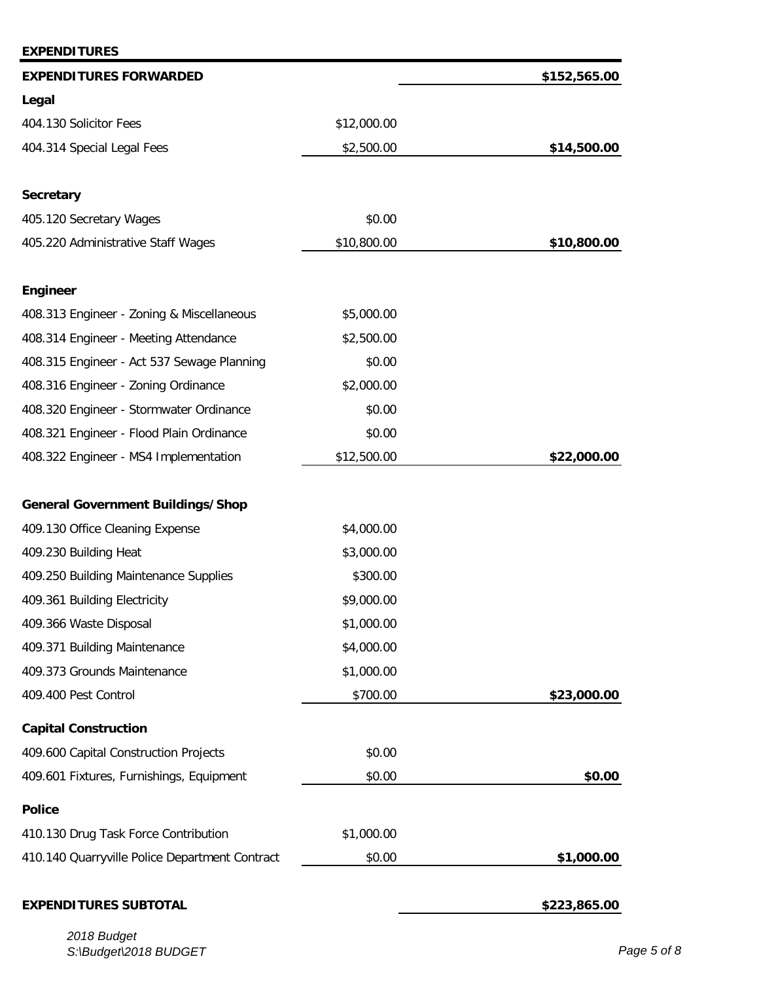| <b>EXPENDITURES</b>                            |             |              |
|------------------------------------------------|-------------|--------------|
| <b>EXPENDITURES FORWARDED</b>                  |             | \$152,565.00 |
| Legal                                          |             |              |
| 404.130 Solicitor Fees                         | \$12,000.00 |              |
| 404.314 Special Legal Fees                     | \$2,500.00  | \$14,500.00  |
| <b>Secretary</b>                               |             |              |
| 405.120 Secretary Wages                        | \$0.00      |              |
| 405.220 Administrative Staff Wages             | \$10,800.00 | \$10,800.00  |
| <b>Engineer</b>                                |             |              |
| 408.313 Engineer - Zoning & Miscellaneous      | \$5,000.00  |              |
| 408.314 Engineer - Meeting Attendance          | \$2,500.00  |              |
| 408.315 Engineer - Act 537 Sewage Planning     | \$0.00      |              |
| 408.316 Engineer - Zoning Ordinance            | \$2,000.00  |              |
| 408.320 Engineer - Stormwater Ordinance        | \$0.00      |              |
| 408.321 Engineer - Flood Plain Ordinance       | \$0.00      |              |
| 408.322 Engineer - MS4 Implementation          | \$12,500.00 | \$22,000.00  |
| <b>General Government Buildings/Shop</b>       |             |              |
| 409.130 Office Cleaning Expense                | \$4,000.00  |              |
| 409.230 Building Heat                          | \$3,000.00  |              |
| 409.250 Building Maintenance Supplies          | \$300.00    |              |
| 409.361 Building Electricity                   | \$9,000.00  |              |
| 409.366 Waste Disposal                         | \$1,000.00  |              |
| 409.371 Building Maintenance                   | \$4,000.00  |              |
| 409.373 Grounds Maintenance                    | \$1,000.00  |              |
| 409.400 Pest Control                           | \$700.00    | \$23,000.00  |
| <b>Capital Construction</b>                    |             |              |
| 409.600 Capital Construction Projects          | \$0.00      |              |
| 409.601 Fixtures, Furnishings, Equipment       | \$0.00      | \$0.00       |
| <b>Police</b>                                  |             |              |
| 410.130 Drug Task Force Contribution           | \$1,000.00  |              |
| 410.140 Quarryville Police Department Contract | \$0.00      | \$1,000.00   |
| <b>EXPENDITURES SUBTOTAL</b>                   |             | \$223,865.00 |

*2018 Budget S:\Budget\2018 BUDGET Page 5 of 8*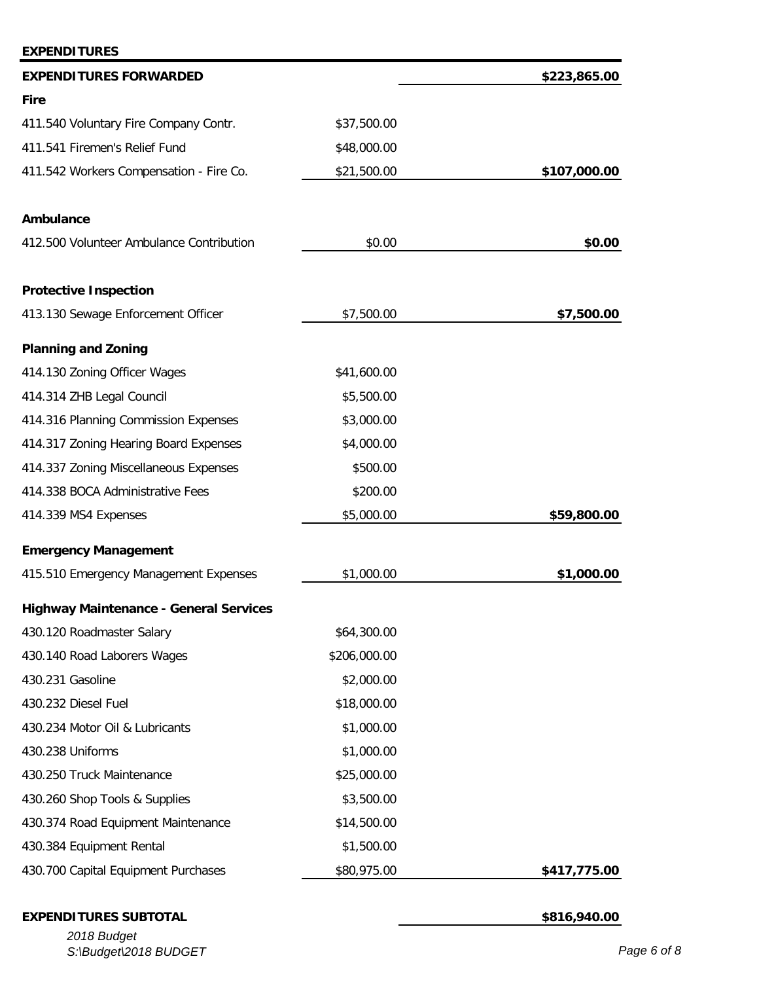| <b>EXPENDITURES FORWARDED</b>                 |              | \$223,865.00 |
|-----------------------------------------------|--------------|--------------|
| <b>Fire</b>                                   |              |              |
| 411.540 Voluntary Fire Company Contr.         | \$37,500.00  |              |
| 411.541 Firemen's Relief Fund                 | \$48,000.00  |              |
| 411.542 Workers Compensation - Fire Co.       | \$21,500.00  | \$107,000.00 |
| Ambulance                                     |              |              |
| 412.500 Volunteer Ambulance Contribution      | \$0.00       | \$0.00       |
| <b>Protective Inspection</b>                  |              |              |
| 413.130 Sewage Enforcement Officer            | \$7,500.00   | \$7,500.00   |
| <b>Planning and Zoning</b>                    |              |              |
| 414.130 Zoning Officer Wages                  | \$41,600.00  |              |
| 414.314 ZHB Legal Council                     | \$5,500.00   |              |
| 414.316 Planning Commission Expenses          | \$3,000.00   |              |
| 414.317 Zoning Hearing Board Expenses         | \$4,000.00   |              |
| 414.337 Zoning Miscellaneous Expenses         | \$500.00     |              |
| 414.338 BOCA Administrative Fees              | \$200.00     |              |
| 414.339 MS4 Expenses                          | \$5,000.00   | \$59,800.00  |
| <b>Emergency Management</b>                   |              |              |
| 415.510 Emergency Management Expenses         | \$1,000.00   | \$1,000.00   |
| <b>Highway Maintenance - General Services</b> |              |              |
| 430.120 Roadmaster Salary                     | \$64,300.00  |              |
| 430.140 Road Laborers Wages                   | \$206,000.00 |              |
| 430.231 Gasoline                              | \$2,000.00   |              |
| 430.232 Diesel Fuel                           | \$18,000.00  |              |
| 430.234 Motor Oil & Lubricants                | \$1,000.00   |              |
| 430.238 Uniforms                              | \$1,000.00   |              |
| 430.250 Truck Maintenance                     | \$25,000.00  |              |
| 430.260 Shop Tools & Supplies                 | \$3,500.00   |              |
| 430.374 Road Equipment Maintenance            | \$14,500.00  |              |
| 430.384 Equipment Rental                      | \$1,500.00   |              |
| 430.700 Capital Equipment Purchases           | \$80,975.00  | \$417,775.00 |

# **EXPENDITURES SUBTOTAL \$816,940.00**

**EXPENDITURES**

*2018 Budget S:\Budget\2018 BUDGET Page 6 of 8*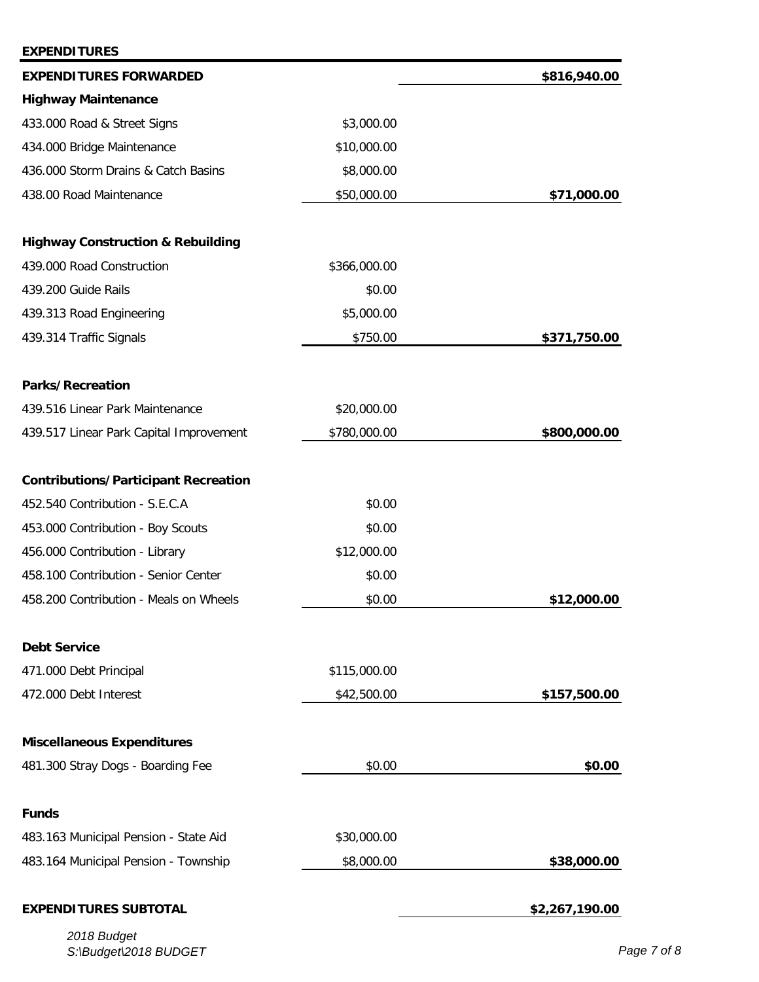| <b>EXPENDITURES</b>                          |              |                |
|----------------------------------------------|--------------|----------------|
| <b>EXPENDITURES FORWARDED</b>                |              | \$816,940.00   |
| <b>Highway Maintenance</b>                   |              |                |
| 433.000 Road & Street Signs                  | \$3,000.00   |                |
| 434.000 Bridge Maintenance                   | \$10,000.00  |                |
| 436.000 Storm Drains & Catch Basins          | \$8,000.00   |                |
| 438.00 Road Maintenance                      | \$50,000.00  | \$71,000.00    |
| <b>Highway Construction &amp; Rebuilding</b> |              |                |
| 439.000 Road Construction                    | \$366,000.00 |                |
| 439.200 Guide Rails                          | \$0.00       |                |
| 439.313 Road Engineering                     | \$5,000.00   |                |
| 439.314 Traffic Signals                      | \$750.00     | \$371,750.00   |
| <b>Parks/Recreation</b>                      |              |                |
| 439.516 Linear Park Maintenance              | \$20,000.00  |                |
| 439.517 Linear Park Capital Improvement      | \$780,000.00 | \$800,000.00   |
| <b>Contributions/Participant Recreation</b>  |              |                |
| 452.540 Contribution - S.E.C.A               | \$0.00       |                |
| 453.000 Contribution - Boy Scouts            | \$0.00       |                |
| 456.000 Contribution - Library               | \$12,000.00  |                |
| 458.100 Contribution - Senior Center         | \$0.00       |                |
| 458.200 Contribution - Meals on Wheels       | \$0.00       | \$12,000.00    |
| <b>Debt Service</b>                          |              |                |
| 471.000 Debt Principal                       | \$115,000.00 |                |
| 472.000 Debt Interest                        | \$42,500.00  | \$157,500.00   |
| <b>Miscellaneous Expenditures</b>            |              |                |
| 481.300 Stray Dogs - Boarding Fee            | \$0.00       | \$0.00         |
| <b>Funds</b>                                 |              |                |
| 483.163 Municipal Pension - State Aid        | \$30,000.00  |                |
| 483.164 Municipal Pension - Township         | \$8,000.00   | \$38,000.00    |
| <b>EXPENDITURES SUBTOTAL</b>                 |              | \$2,267,190.00 |
|                                              |              |                |